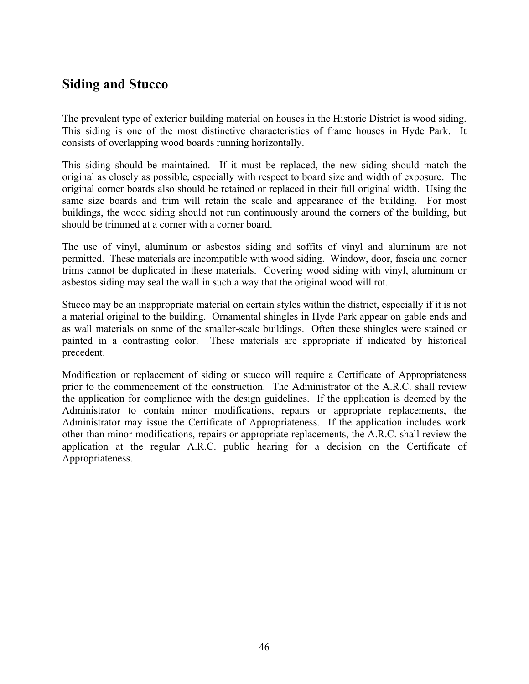# **Siding and Stucco**

The prevalent type of exterior building material on houses in the Historic District is wood siding. This siding is one of the most distinctive characteristics of frame houses in Hyde Park. It consists of overlapping wood boards running horizontally.

This siding should be maintained. If it must be replaced, the new siding should match the original as closely as possible, especially with respect to board size and width of exposure. The original corner boards also should be retained or replaced in their full original width. Using the same size boards and trim will retain the scale and appearance of the building. For most buildings, the wood siding should not run continuously around the corners of the building, but should be trimmed at a corner with a corner board.

The use of vinyl, aluminum or asbestos siding and soffits of vinyl and aluminum are not permitted. These materials are incompatible with wood siding. Window, door, fascia and corner trims cannot be duplicated in these materials. Covering wood siding with vinyl, aluminum or asbestos siding may seal the wall in such a way that the original wood will rot.

Stucco may be an inappropriate material on certain styles within the district, especially if it is not a material original to the building. Ornamental shingles in Hyde Park appear on gable ends and as wall materials on some of the smaller-scale buildings. Often these shingles were stained or painted in a contrasting color. These materials are appropriate if indicated by historical precedent.

Modification or replacement of siding or stucco will require a Certificate of Appropriateness prior to the commencement of the construction. The Administrator of the A.R.C. shall review the application for compliance with the design guidelines. If the application is deemed by the Administrator to contain minor modifications, repairs or appropriate replacements, the Administrator may issue the Certificate of Appropriateness. If the application includes work other than minor modifications, repairs or appropriate replacements, the A.R.C. shall review the application at the regular A.R.C. public hearing for a decision on the Certificate of Appropriateness.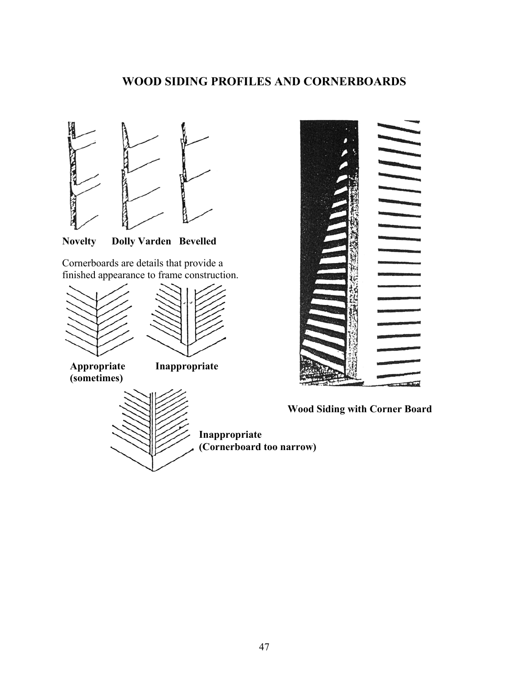## **WOOD SIDING PROFILES AND CORNERBOARDS**



**Novelty Dolly Varden Bevelled** 

Cornerboards are details that provide a finished appearance to frame construction.





 **Appropriate Inappropriate (sometimes)** 





**Inappropriate (Cornerboard too narrow)** 



**Wood Siding with Corner Board**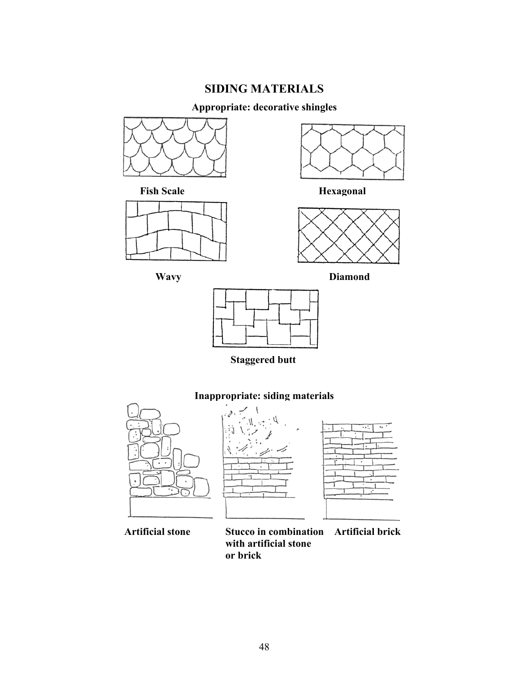## **SIDING MATERIALS**

### **Appropriate: decorative shingles**







**Fish Scale Hexagonal Hexagonal** 







**Staggered butt** 









 **Artificial stone Stucco in combination Artificial brick with artificial stone or brick**